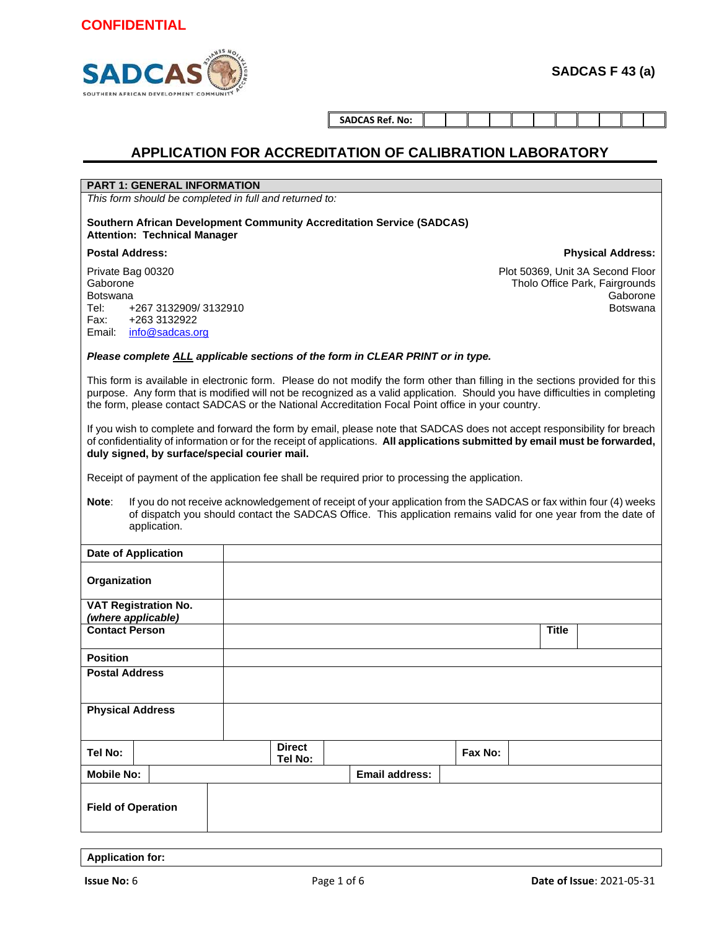

**SADCAS Ref. No:**

### **APPLICATION FOR ACCREDITATION OF CALIBRATION LABORATORY**

### **PART 1: GENERAL INFORMATION**

*This form should be completed in full and returned to:*

**Southern African Development Community Accreditation Service (SADCAS) Attention: Technical Manager**

#### **Postal Address:**

Private Bag 00320 Gaborone Botswana Tel: +267 3132909/ 3132910 Fax: +263 3132922 Email: info@sadcas.org

Plot 50369, Unit 3A Second Floor Tholo Office Park, Fairgrounds Gaborone Botswana

**Physical Address:**

#### *Please complete ALL applicable sections of the form in CLEAR PRINT or in type.*

This form is available in electronic form. Please do not modify the form other than filling in the sections provided for this purpose. Any form that is modified will not be recognized as a valid application. Should you have difficulties in completing the form, please contact SADCAS or the National Accreditation Focal Point office in your country.

If you wish to complete and forward the form by email, please note that SADCAS does not accept responsibility for breach of confidentiality of information or for the receipt of applications. **All applications submitted by email must be forwarded, duly signed, by surface/special courier mail.**

Receipt of payment of the application fee shall be required prior to processing the application.

**Note**: If you do not receive acknowledgement of receipt of your application from the SADCAS or fax within four (4) weeks of dispatch you should contact the SADCAS Office. This application remains valid for one year from the date of application.

| <b>Date of Application</b>  |                          |                       |         |              |  |
|-----------------------------|--------------------------|-----------------------|---------|--------------|--|
| Organization                |                          |                       |         |              |  |
| <b>VAT Registration No.</b> |                          |                       |         |              |  |
| (where applicable)          |                          |                       |         |              |  |
| <b>Contact Person</b>       |                          |                       |         | <b>Title</b> |  |
| <b>Position</b>             |                          |                       |         |              |  |
| <b>Postal Address</b>       |                          |                       |         |              |  |
| <b>Physical Address</b>     |                          |                       |         |              |  |
| Tel No:                     | <b>Direct</b><br>Tel No: |                       | Fax No: |              |  |
| <b>Mobile No:</b>           |                          | <b>Email address:</b> |         |              |  |
| <b>Field of Operation</b>   |                          |                       |         |              |  |

**Application for:**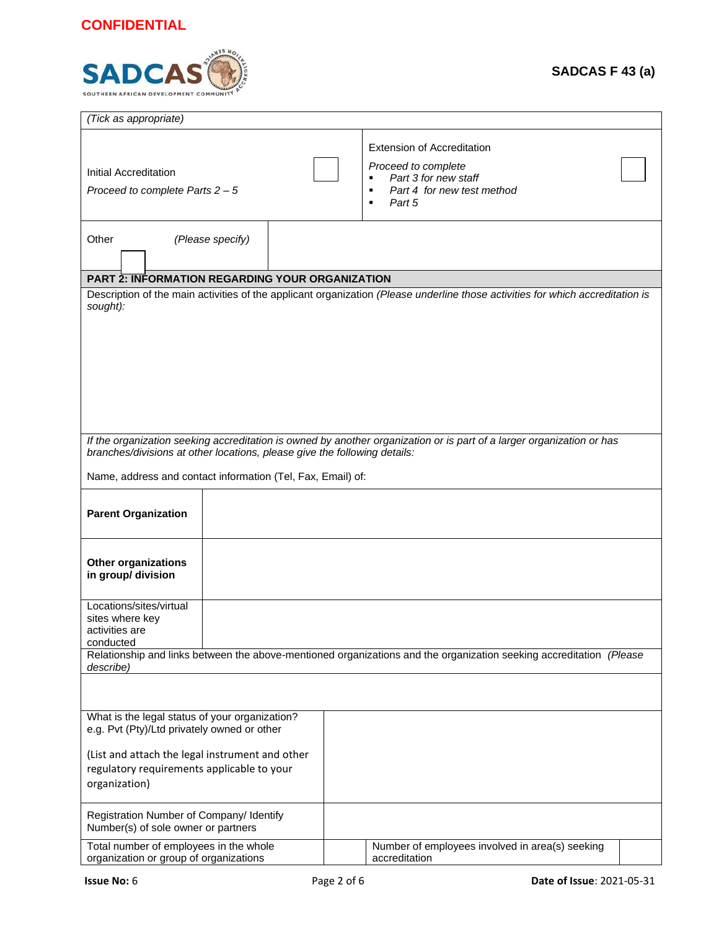# **CONFIDENTIAL**



| (Tick as appropriate)                                                                                                                                                                                                                                             |  |                                                                                                                                                      |  |  |  |
|-------------------------------------------------------------------------------------------------------------------------------------------------------------------------------------------------------------------------------------------------------------------|--|------------------------------------------------------------------------------------------------------------------------------------------------------|--|--|--|
| Initial Accreditation<br>Proceed to complete Parts $2 - 5$                                                                                                                                                                                                        |  | <b>Extension of Accreditation</b><br>Proceed to complete<br>Part 3 for new staff<br>٠<br>Part 4 for new test method<br>$\blacksquare$<br>Part 5<br>٠ |  |  |  |
| Other<br>(Please specify)                                                                                                                                                                                                                                         |  |                                                                                                                                                      |  |  |  |
| <b>PART 2: INFORMATION REGARDING YOUR ORGANIZATION</b>                                                                                                                                                                                                            |  |                                                                                                                                                      |  |  |  |
| sought):                                                                                                                                                                                                                                                          |  | Description of the main activities of the applicant organization (Please underline those activities for which accreditation is                       |  |  |  |
| If the organization seeking accreditation is owned by another organization or is part of a larger organization or has<br>branches/divisions at other locations, please give the following details:<br>Name, address and contact information (Tel, Fax, Email) of: |  |                                                                                                                                                      |  |  |  |
|                                                                                                                                                                                                                                                                   |  |                                                                                                                                                      |  |  |  |
| <b>Parent Organization</b>                                                                                                                                                                                                                                        |  |                                                                                                                                                      |  |  |  |
| <b>Other organizations</b><br>in group/ division                                                                                                                                                                                                                  |  |                                                                                                                                                      |  |  |  |
| Locations/sites/virtual<br>sites where key<br>activities are<br>conducted                                                                                                                                                                                         |  |                                                                                                                                                      |  |  |  |
|                                                                                                                                                                                                                                                                   |  | Relationship and links between the above-mentioned organizations and the organization seeking accreditation (Please                                  |  |  |  |
| describe)                                                                                                                                                                                                                                                         |  |                                                                                                                                                      |  |  |  |
| What is the legal status of your organization?<br>e.g. Pvt (Pty)/Ltd privately owned or other                                                                                                                                                                     |  |                                                                                                                                                      |  |  |  |
| (List and attach the legal instrument and other<br>regulatory requirements applicable to your<br>organization)                                                                                                                                                    |  |                                                                                                                                                      |  |  |  |
| Registration Number of Company/ Identify<br>Number(s) of sole owner or partners                                                                                                                                                                                   |  |                                                                                                                                                      |  |  |  |
| Total number of employees in the whole<br>organization or group of organizations                                                                                                                                                                                  |  | Number of employees involved in area(s) seeking<br>accreditation                                                                                     |  |  |  |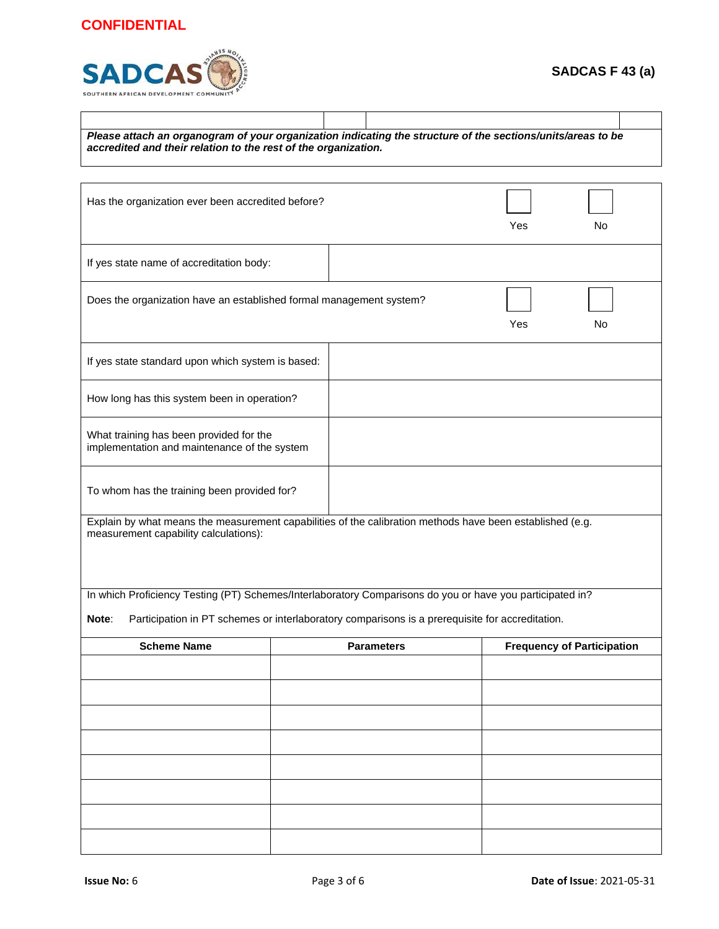## **CONFIDENTIAL**



| Please attach an organogram of your organization indicating the structure of the sections/units/areas to be<br>accredited and their relation to the rest of the organization. |  |  |                   |     |    |                                   |
|-------------------------------------------------------------------------------------------------------------------------------------------------------------------------------|--|--|-------------------|-----|----|-----------------------------------|
|                                                                                                                                                                               |  |  |                   |     |    |                                   |
| Has the organization ever been accredited before?                                                                                                                             |  |  |                   | Yes | No |                                   |
| If yes state name of accreditation body:                                                                                                                                      |  |  |                   |     |    |                                   |
| Does the organization have an established formal management system?<br>Yes<br>No                                                                                              |  |  |                   |     |    |                                   |
| If yes state standard upon which system is based:                                                                                                                             |  |  |                   |     |    |                                   |
| How long has this system been in operation?                                                                                                                                   |  |  |                   |     |    |                                   |
| What training has been provided for the<br>implementation and maintenance of the system                                                                                       |  |  |                   |     |    |                                   |
| To whom has the training been provided for?                                                                                                                                   |  |  |                   |     |    |                                   |
| Explain by what means the measurement capabilities of the calibration methods have been established (e.g.<br>measurement capability calculations):                            |  |  |                   |     |    |                                   |
| In which Proficiency Testing (PT) Schemes/Interlaboratory Comparisons do you or have you participated in?                                                                     |  |  |                   |     |    |                                   |
| Participation in PT schemes or interlaboratory comparisons is a prerequisite for accreditation.<br>Note:                                                                      |  |  |                   |     |    |                                   |
| <b>Scheme Name</b>                                                                                                                                                            |  |  | <b>Parameters</b> |     |    | <b>Frequency of Participation</b> |
|                                                                                                                                                                               |  |  |                   |     |    |                                   |
|                                                                                                                                                                               |  |  |                   |     |    |                                   |
|                                                                                                                                                                               |  |  |                   |     |    |                                   |
|                                                                                                                                                                               |  |  |                   |     |    |                                   |
|                                                                                                                                                                               |  |  |                   |     |    |                                   |
|                                                                                                                                                                               |  |  |                   |     |    |                                   |
|                                                                                                                                                                               |  |  |                   |     |    |                                   |
|                                                                                                                                                                               |  |  |                   |     |    |                                   |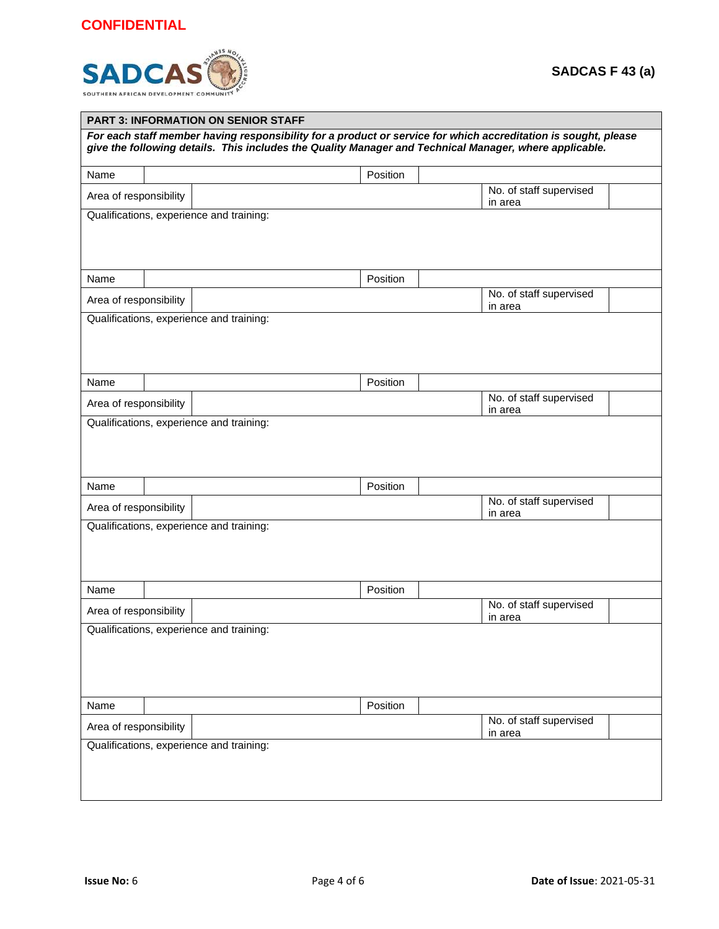## **CONFIDENTIAL**



| <b>PART 3: INFORMATION ON SENIOR STAFF</b>                                                                                                                                                                               |  |                                          |                                    |  |  |  |
|--------------------------------------------------------------------------------------------------------------------------------------------------------------------------------------------------------------------------|--|------------------------------------------|------------------------------------|--|--|--|
| For each staff member having responsibility for a product or service for which accreditation is sought, please<br>give the following details. This includes the Quality Manager and Technical Manager, where applicable. |  |                                          |                                    |  |  |  |
| Name                                                                                                                                                                                                                     |  | Position                                 |                                    |  |  |  |
| Area of responsibility                                                                                                                                                                                                   |  |                                          | No. of staff supervised<br>in area |  |  |  |
|                                                                                                                                                                                                                          |  | Qualifications, experience and training: |                                    |  |  |  |
| Name                                                                                                                                                                                                                     |  | Position                                 |                                    |  |  |  |
| Area of responsibility                                                                                                                                                                                                   |  |                                          | No. of staff supervised<br>in area |  |  |  |
|                                                                                                                                                                                                                          |  | Qualifications, experience and training: |                                    |  |  |  |
| Name                                                                                                                                                                                                                     |  | Position                                 |                                    |  |  |  |
| Area of responsibility                                                                                                                                                                                                   |  |                                          | No. of staff supervised<br>in area |  |  |  |
| Name                                                                                                                                                                                                                     |  | Position                                 |                                    |  |  |  |
| Area of responsibility                                                                                                                                                                                                   |  |                                          | No. of staff supervised<br>in area |  |  |  |
| Qualifications, experience and training:                                                                                                                                                                                 |  |                                          |                                    |  |  |  |
| Name                                                                                                                                                                                                                     |  | Position                                 | No. of staff supervised            |  |  |  |
| Area of responsibility                                                                                                                                                                                                   |  |                                          | in area                            |  |  |  |
| Qualifications, experience and training:                                                                                                                                                                                 |  |                                          |                                    |  |  |  |
| Name                                                                                                                                                                                                                     |  | Position                                 |                                    |  |  |  |
| Area of responsibility                                                                                                                                                                                                   |  | Qualifications, experience and training: | No. of staff supervised<br>in area |  |  |  |
|                                                                                                                                                                                                                          |  |                                          |                                    |  |  |  |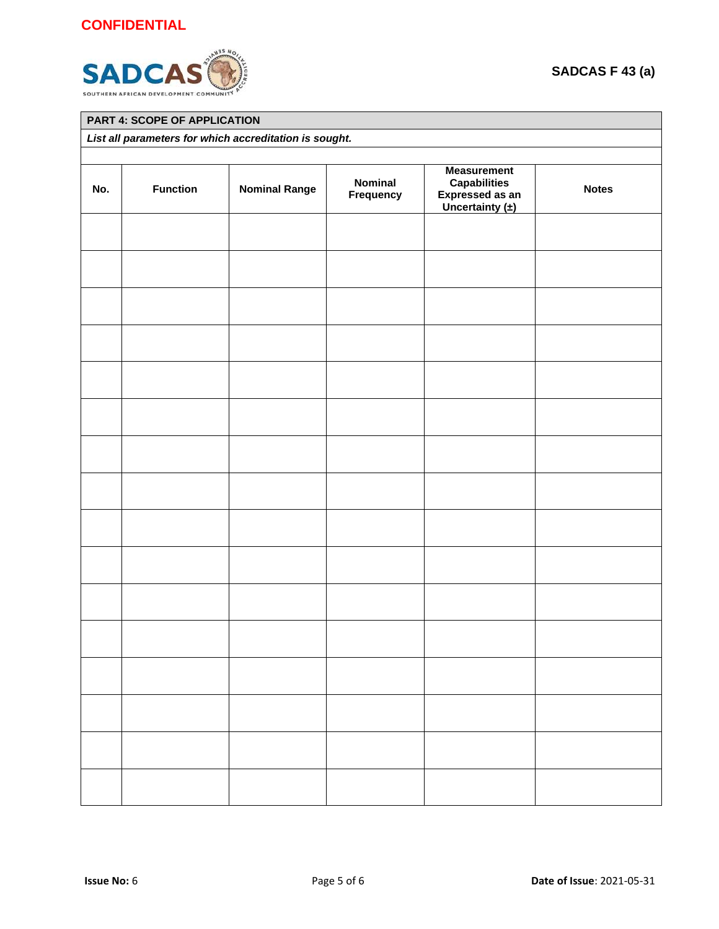

|                                                        | PART 4: SCOPE OF APPLICATION |                      |                      |                                                                                     |              |  |  |
|--------------------------------------------------------|------------------------------|----------------------|----------------------|-------------------------------------------------------------------------------------|--------------|--|--|
| List all parameters for which accreditation is sought. |                              |                      |                      |                                                                                     |              |  |  |
| No.                                                    | <b>Function</b>              | <b>Nominal Range</b> | Nominal<br>Frequency | <b>Measurement</b><br><b>Capabilities</b><br>Expressed as an<br>Uncertainty $(\pm)$ | <b>Notes</b> |  |  |
|                                                        |                              |                      |                      |                                                                                     |              |  |  |
|                                                        |                              |                      |                      |                                                                                     |              |  |  |
|                                                        |                              |                      |                      |                                                                                     |              |  |  |
|                                                        |                              |                      |                      |                                                                                     |              |  |  |
|                                                        |                              |                      |                      |                                                                                     |              |  |  |
|                                                        |                              |                      |                      |                                                                                     |              |  |  |
|                                                        |                              |                      |                      |                                                                                     |              |  |  |
|                                                        |                              |                      |                      |                                                                                     |              |  |  |
|                                                        |                              |                      |                      |                                                                                     |              |  |  |
|                                                        |                              |                      |                      |                                                                                     |              |  |  |
|                                                        |                              |                      |                      |                                                                                     |              |  |  |
|                                                        |                              |                      |                      |                                                                                     |              |  |  |
|                                                        |                              |                      |                      |                                                                                     |              |  |  |
|                                                        |                              |                      |                      |                                                                                     |              |  |  |
|                                                        |                              |                      |                      |                                                                                     |              |  |  |
|                                                        |                              |                      |                      |                                                                                     |              |  |  |